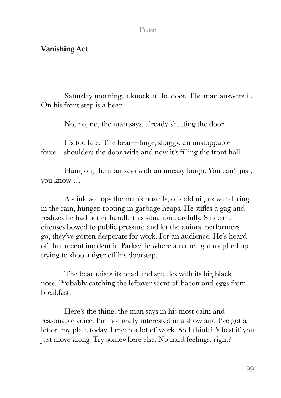## Prose

## **Vanishing Act**

Saturday morning, a knock at the door. The man answers it. On his front step is a bear.

No, no, no, the man says, already shutting the door.

It's too late. The bear—huge, shaggy, an unstoppable force—shoulders the door wide and now it's filling the front hall.

Hang on, the man says with an uneasy laugh. You can't just, you know …

A stink wallops the man's nostrils, of cold nights wandering in the rain, hunger, rooting in garbage heaps. He stifles a gag and realizes he had better handle this situation carefully. Since the circuses bowed to public pressure and let the animal performers go, they've gotten desperate for work. For an audience. He's heard of that recent incident in Parksville where a retiree got roughed up trying to shoo a tiger off his doorstep.

The bear raises its head and snuffles with its big black nose. Probably catching the leftover scent of bacon and eggs from breakfast.

Here's the thing, the man says in his most calm and reasonable voice. I'm not really interested in a show and I've got a lot on my plate today. I mean a lot of work. So I think it's best if you just move along. Try somewhere else. No hard feelings, right?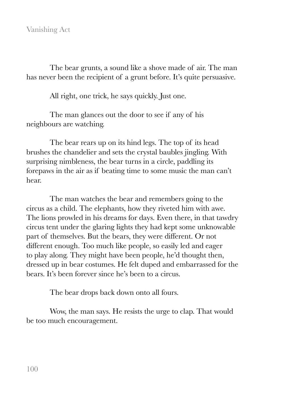The bear grunts, a sound like a shove made of air. The man has never been the recipient of a grunt before. It's quite persuasive.

All right, one trick, he says quickly. Just one.

The man glances out the door to see if any of his neighbours are watching.

The bear rears up on its hind legs. The top of its head brushes the chandelier and sets the crystal baubles jingling. With surprising nimbleness, the bear turns in a circle, paddling its forepaws in the air as if beating time to some music the man can't hear.

The man watches the bear and remembers going to the circus as a child. The elephants, how they riveted him with awe. The lions prowled in his dreams for days. Even there, in that tawdry circus tent under the glaring lights they had kept some unknowable part of themselves. But the bears, they were different. Or not different enough. Too much like people, so easily led and eager to play along. They might have been people, he'd thought then, dressed up in bear costumes. He felt duped and embarrassed for the bears. It's been forever since he's been to a circus.

The bear drops back down onto all fours.

Wow, the man says. He resists the urge to clap. That would be too much encouragement.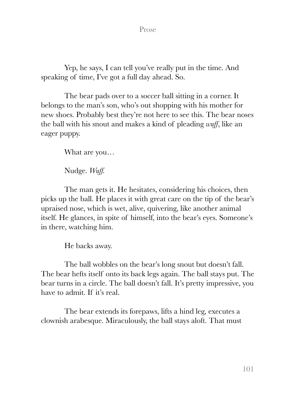Prose

Yep, he says, I can tell you've really put in the time. And speaking of time, I've got a full day ahead. So.

The bear pads over to a soccer ball sitting in a corner. It belongs to the man's son, who's out shopping with his mother for new shoes. Probably best they're not here to see this. The bear noses the ball with his snout and makes a kind of pleading *wuff*, like an eager puppy.

What are you…

Nudge. *Wuff.* 

The man gets it. He hesitates, considering his choices, then picks up the ball. He places it with great care on the tip of the bear's upraised nose, which is wet, alive, quivering, like another animal itself. He glances, in spite of himself, into the bear's eyes. Someone's in there, watching him.

He backs away.

The ball wobbles on the bear's long snout but doesn't fall. The bear hefts itself onto its back legs again. The ball stays put. The bear turns in a circle. The ball doesn't fall. It's pretty impressive, you have to admit. If it's real.

The bear extends its forepaws, lifts a hind leg, executes a clownish arabesque. Miraculously, the ball stays aloft. That must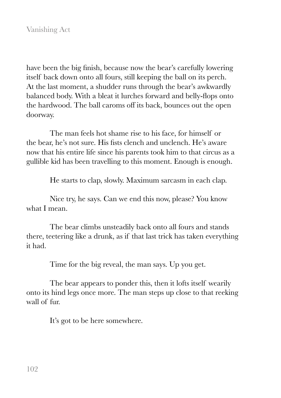have been the big finish, because now the bear's carefully lowering itself back down onto all fours, still keeping the ball on its perch. At the last moment, a shudder runs through the bear's awkwardly balanced body. With a bleat it lurches forward and belly-flops onto the hardwood. The ball caroms off its back, bounces out the open doorway.

The man feels hot shame rise to his face, for himself or the bear, he's not sure. His fists clench and unclench. He's aware now that his entire life since his parents took him to that circus as a gullible kid has been travelling to this moment. Enough is enough.

He starts to clap, slowly. Maximum sarcasm in each clap.

Nice try, he says. Can we end this now, please? You know what I mean.

The bear climbs unsteadily back onto all fours and stands there, teetering like a drunk, as if that last trick has taken everything it had.

Time for the big reveal, the man says. Up you get.

The bear appears to ponder this, then it lofts itself wearily onto its hind legs once more. The man steps up close to that reeking wall of fur.

It's got to be here somewhere.